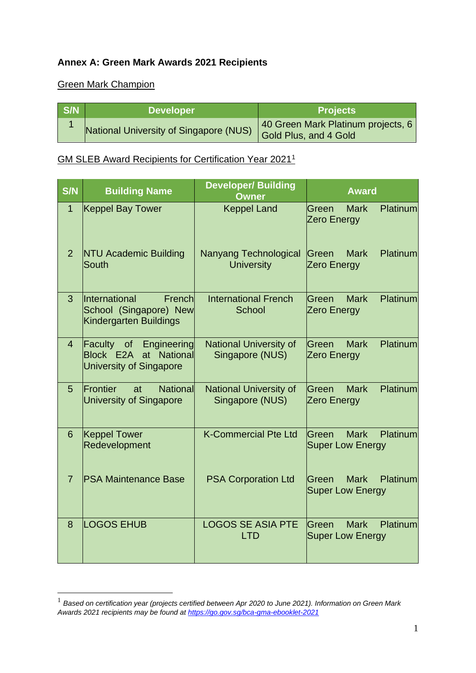## **Annex A: Green Mark Awards 2021 Recipients**

## Green Mark Champion

| S/N | <b>Developer</b>                       | <b>Projects</b>                                             |
|-----|----------------------------------------|-------------------------------------------------------------|
|     | National University of Singapore (NUS) | 40 Green Mark Platinum projects, 6<br>Gold Plus, and 4 Gold |

## GM SLEB Award Recipients for Certification Year 2021<sup>1</sup>

| <b>S/N</b>     | <b>Building Name</b>                                                                             | <b>Developer/ Building</b><br><b>Owner</b>       | <b>Award</b>                                                  |
|----------------|--------------------------------------------------------------------------------------------------|--------------------------------------------------|---------------------------------------------------------------|
| $\mathbf{1}$   | <b>Keppel Bay Tower</b>                                                                          | <b>Keppel Land</b>                               | <b>Mark</b><br>Platinum<br>lGreen<br><b>Zero Energy</b>       |
| 2              | <b>NTU Academic Building</b><br>South                                                            | Nanyang Technological<br><b>University</b>       | <b>Mark</b><br>Platinum<br><b>Green</b><br><b>Zero Energy</b> |
| 3              | <i><u><b>International</b></u></i><br>French<br>School (Singapore) New<br>Kindergarten Buildings | <b>International French</b><br>School            | lGreen<br><b>Mark</b><br>Platinum<br><b>Zero Energy</b>       |
| $\overline{4}$ | Faculty<br>of<br>Engineering<br>Block E2A<br>at National<br>University of Singapore              | <b>National University of</b><br>Singapore (NUS) | <b>Mark</b><br>Platinum<br>Green<br><b>Zero Energy</b>        |
| 5              | <b>Frontier</b><br><b>National</b><br>at<br><b>University of Singapore</b>                       | <b>National University of</b><br>Singapore (NUS) | Platinum<br>lGreen<br><b>Mark</b><br>Zero Energy              |
| 6              | <b>Keppel Tower</b><br>Redevelopment                                                             | <b>K-Commercial Pte Ltd</b>                      | <b>Mark</b><br>Platinum<br>lGreen<br><b>Super Low Energy</b>  |
| $\overline{7}$ | <b>PSA Maintenance Base</b>                                                                      | <b>PSA Corporation Ltd</b>                       | <b>Mark</b><br>Platinum<br>lGreen.<br><b>Super Low Energy</b> |
| 8              | <b>LOGOS EHUB</b>                                                                                | <b>LOGOS SE ASIA PTE</b><br><b>LTD</b>           | Platinum<br>lGreen<br><b>Mark</b><br><b>Super Low Energy</b>  |

<sup>1</sup> *Based on certification year (projects certified between Apr 2020 to June 2021). Information on Green Mark Awards 2021 recipients may be found at<https://go.gov.sg/bca-gma-ebooklet-2021>*